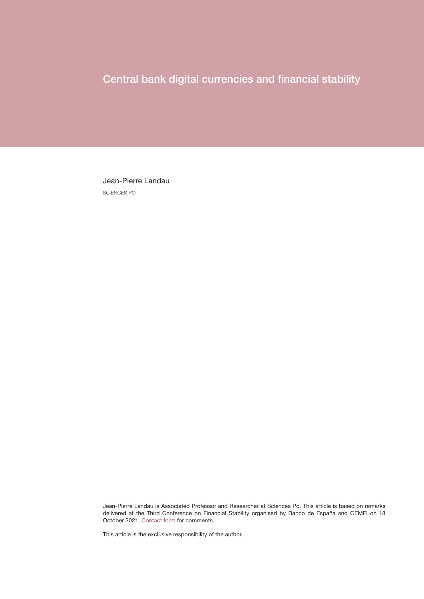# Central bank digital currencies and financial stability

Jean-Pierre Landau SCIENCES PO

Jean-Pierre Landau is Associated Professor and Researcher at Sciences Po. This article is based on remarks delivered at the Third Conference on Financial Stability organised by Banco de España and CEMFI on 18 October 2021. [Contact form](https://app.bde.es/gnt_seg/en/contacto?a=329c99DiBw9JQtLObNFrTzoaMj35Eo8u) for comments.

This article is the exclusive responsibility of the author.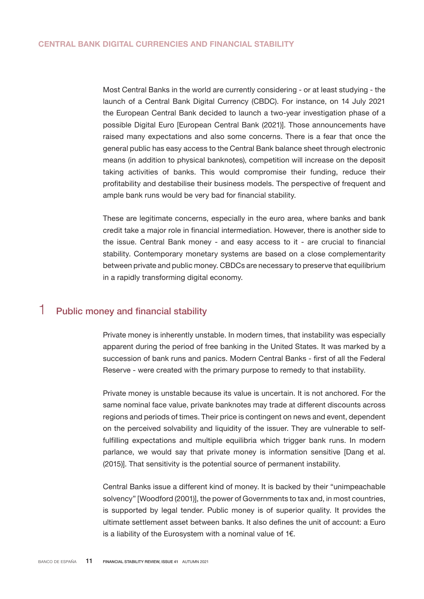Most Central Banks in the world are currently considering - or at least studying - the launch of a Central Bank Digital Currency (CBDC). For instance, on 14 July 2021 the European Central Bank decided to launch a two-year investigation phase of a possible Digital Euro [European Central Bank (2021)]. Those announcements have raised many expectations and also some concerns. There is a fear that once the general public has easy access to the Central Bank balance sheet through electronic means (in addition to physical banknotes), competition will increase on the deposit taking activities of banks. This would compromise their funding, reduce their profitability and destabilise their business models. The perspective of frequent and ample bank runs would be very bad for financial stability.

These are legitimate concerns, especially in the euro area, where banks and bank credit take a major role in financial intermediation. However, there is another side to the issue. Central Bank money - and easy access to it - are crucial to financial stability. Contemporary monetary systems are based on a close complementarity between private and public money. CBDCs are necessary to preserve that equilibrium in a rapidly transforming digital economy.

## 1 Public money and financial stability

Private money is inherently unstable. In modern times, that instability was especially apparent during the period of free banking in the United States. It was marked by a succession of bank runs and panics. Modern Central Banks - first of all the Federal Reserve - were created with the primary purpose to remedy to that instability.

Private money is unstable because its value is uncertain. It is not anchored. For the same nominal face value, private banknotes may trade at different discounts across regions and periods of times. Their price is contingent on news and event, dependent on the perceived solvability and liquidity of the issuer. They are vulnerable to selffulfilling expectations and multiple equilibria which trigger bank runs. In modern parlance, we would say that private money is information sensitive [Dang et al. (2015)]. That sensitivity is the potential source of permanent instability.

Central Banks issue a different kind of money. It is backed by their "unimpeachable solvency" [Woodford (2001)], the power of Governments to tax and, in most countries, is supported by legal tender. Public money is of superior quality. It provides the ultimate settlement asset between banks. It also defines the unit of account: a Euro is a liability of the Eurosystem with a nominal value of 1€.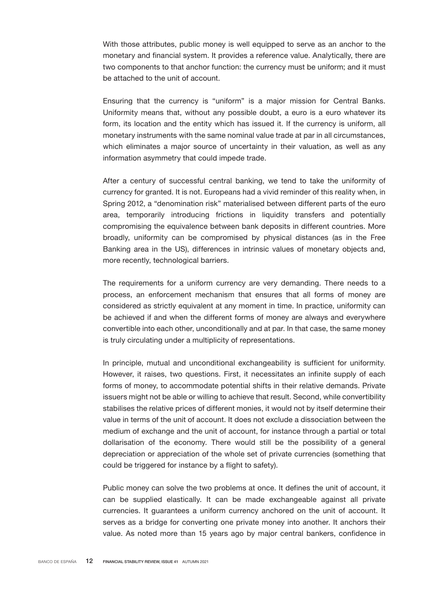With those attributes, public money is well equipped to serve as an anchor to the monetary and financial system. It provides a reference value. Analytically, there are two components to that anchor function: the currency must be uniform; and it must be attached to the unit of account.

Ensuring that the currency is "uniform" is a major mission for Central Banks. Uniformity means that, without any possible doubt, a euro is a euro whatever its form, its location and the entity which has issued it. If the currency is uniform, all monetary instruments with the same nominal value trade at par in all circumstances, which eliminates a major source of uncertainty in their valuation, as well as any information asymmetry that could impede trade.

After a century of successful central banking, we tend to take the uniformity of currency for granted. It is not. Europeans had a vivid reminder of this reality when, in Spring 2012, a "denomination risk" materialised between different parts of the euro area, temporarily introducing frictions in liquidity transfers and potentially compromising the equivalence between bank deposits in different countries. More broadly, uniformity can be compromised by physical distances (as in the Free Banking area in the US), differences in intrinsic values of monetary objects and, more recently, technological barriers.

The requirements for a uniform currency are very demanding. There needs to a process, an enforcement mechanism that ensures that all forms of money are considered as strictly equivalent at any moment in time. In practice, uniformity can be achieved if and when the different forms of money are always and everywhere convertible into each other, unconditionally and at par. In that case, the same money is truly circulating under a multiplicity of representations.

In principle, mutual and unconditional exchangeability is sufficient for uniformity. However, it raises, two questions. First, it necessitates an infinite supply of each forms of money, to accommodate potential shifts in their relative demands. Private issuers might not be able or willing to achieve that result. Second, while convertibility stabilises the relative prices of different monies, it would not by itself determine their value in terms of the unit of account. It does not exclude a dissociation between the medium of exchange and the unit of account, for instance through a partial or total dollarisation of the economy. There would still be the possibility of a general depreciation or appreciation of the whole set of private currencies (something that could be triggered for instance by a flight to safety).

Public money can solve the two problems at once. It defines the unit of account, it can be supplied elastically. It can be made exchangeable against all private currencies. It guarantees a uniform currency anchored on the unit of account. It serves as a bridge for converting one private money into another. It anchors their value. As noted more than 15 years ago by major central bankers, confidence in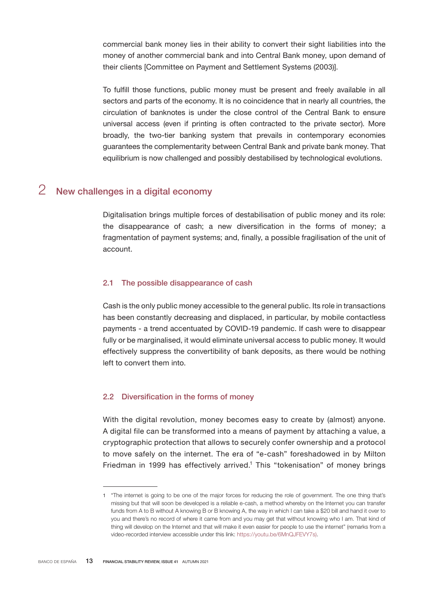commercial bank money lies in their ability to convert their sight liabilities into the money of another commercial bank and into Central Bank money, upon demand of their clients [Committee on Payment and Settlement Systems (2003)].

To fulfill those functions, public money must be present and freely available in all sectors and parts of the economy. It is no coincidence that in nearly all countries, the circulation of banknotes is under the close control of the Central Bank to ensure universal access (even if printing is often contracted to the private sector). More broadly, the two-tier banking system that prevails in contemporary economies guarantees the complementarity between Central Bank and private bank money. That equilibrium is now challenged and possibly destabilised by technological evolutions.

## 2 New challenges in a digital economy

Digitalisation brings multiple forces of destabilisation of public money and its role: the disappearance of cash; a new diversification in the forms of money; a fragmentation of payment systems; and, finally, a possible fragilisation of the unit of account.

#### 2.1 The possible disappearance of cash

Cash is the only public money accessible to the general public. Its role in transactions has been constantly decreasing and displaced, in particular, by mobile contactless payments - a trend accentuated by COVID-19 pandemic. If cash were to disappear fully or be marginalised, it would eliminate universal access to public money. It would effectively suppress the convertibility of bank deposits, as there would be nothing left to convert them into.

#### 2.2 Diversification in the forms of money

With the digital revolution, money becomes easy to create by (almost) anyone. A digital file can be transformed into a means of payment by attaching a value, a cryptographic protection that allows to securely confer ownership and a protocol to move safely on the internet. The era of "e-cash" foreshadowed in by Milton Friedman in 1999 has effectively arrived.<sup>1</sup> This "tokenisation" of money brings

<sup>1</sup> "The internet is going to be one of the major forces for reducing the role of government. The one thing that's missing but that will soon be developed is a reliable e-cash, a method whereby on the Internet you can transfer funds from A to B without A knowing B or B knowing A, the way in which I can take a \$20 bill and hand it over to you and there's no record of where it came from and you may get that without knowing who I am. That kind of thing will develop on the Internet and that will make it even easier for people to use the internet" (remarks from a video-recorded interview accessible under this link: [https://youtu.be/6MnQJFEVY7s\)](https://youtu.be/6MnQJFEVY7s).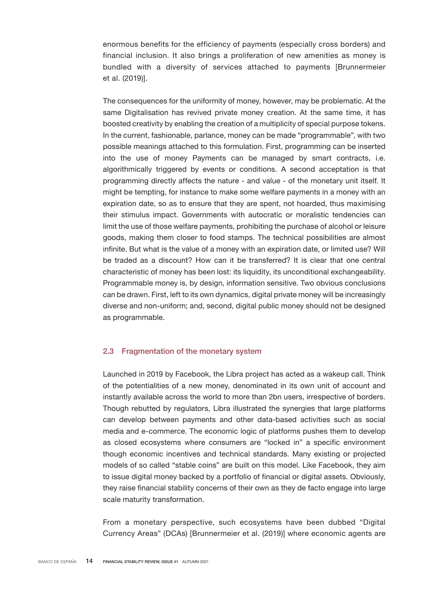enormous benefits for the efficiency of payments (especially cross borders) and financial inclusion. It also brings a proliferation of new amenities as money is bundled with a diversity of services attached to payments [Brunnermeier et al. (2019)].

The consequences for the uniformity of money, however, may be problematic. At the same Digitalisation has revived private money creation. At the same time, it has boosted creativity by enabling the creation of a multiplicity of special purpose tokens. In the current, fashionable, parlance, money can be made "programmable", with two possible meanings attached to this formulation. First, programming can be inserted into the use of money Payments can be managed by smart contracts, i.e. algorithmically triggered by events or conditions. A second acceptation is that programming directly affects the nature - and value - of the monetary unit itself. It might be tempting, for instance to make some welfare payments in a money with an expiration date, so as to ensure that they are spent, not hoarded, thus maximising their stimulus impact. Governments with autocratic or moralistic tendencies can limit the use of those welfare payments, prohibiting the purchase of alcohol or leisure goods, making them closer to food stamps. The technical possibilities are almost infinite. But what is the value of a money with an expiration date, or limited use? Will be traded as a discount? How can it be transferred? It is clear that one central characteristic of money has been lost: its liquidity, its unconditional exchangeability. Programmable money is, by design, information sensitive. Two obvious conclusions can be drawn. First, left to its own dynamics, digital private money will be increasingly diverse and non-uniform; and, second, digital public money should not be designed as programmable.

#### 2.3 Fragmentation of the monetary system

Launched in 2019 by Facebook, the Libra project has acted as a wakeup call. Think of the potentialities of a new money, denominated in its own unit of account and instantly available across the world to more than 2bn users, irrespective of borders. Though rebutted by regulators, Libra illustrated the synergies that large platforms can develop between payments and other data-based activities such as social media and e-commerce. The economic logic of platforms pushes them to develop as closed ecosystems where consumers are "locked in" a specific environment though economic incentives and technical standards. Many existing or projected models of so called "stable coins" are built on this model. Like Facebook, they aim to issue digital money backed by a portfolio of financial or digital assets. Obviously, they raise financial stability concerns of their own as they de facto engage into large scale maturity transformation.

From a monetary perspective, such ecosystems have been dubbed "Digital Currency Areas" (DCAs) [Brunnermeier et al. (2019)] where economic agents are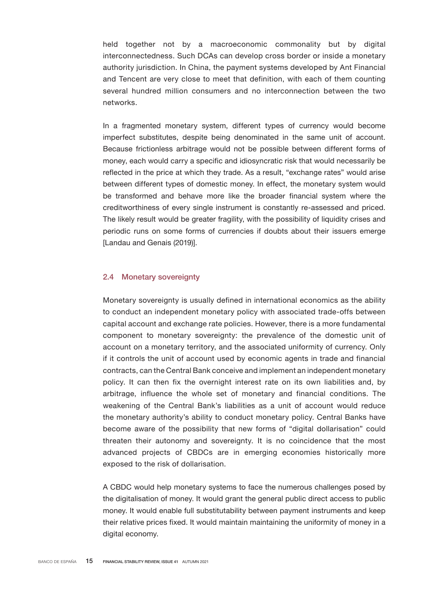held together not by a macroeconomic commonality but by digital interconnectedness. Such DCAs can develop cross border or inside a monetary authority jurisdiction. In China, the payment systems developed by Ant Financial and Tencent are very close to meet that definition, with each of them counting several hundred million consumers and no interconnection between the two networks.

In a fragmented monetary system, different types of currency would become imperfect substitutes, despite being denominated in the same unit of account. Because frictionless arbitrage would not be possible between different forms of money, each would carry a specific and idiosyncratic risk that would necessarily be reflected in the price at which they trade. As a result, "exchange rates" would arise between different types of domestic money. In effect, the monetary system would be transformed and behave more like the broader financial system where the creditworthiness of every single instrument is constantly re-assessed and priced. The likely result would be greater fragility, with the possibility of liquidity crises and periodic runs on some forms of currencies if doubts about their issuers emerge [Landau and Genais (2019)].

#### 2.4 Monetary sovereignty

Monetary sovereignty is usually defined in international economics as the ability to conduct an independent monetary policy with associated trade-offs between capital account and exchange rate policies. However, there is a more fundamental component to monetary sovereignty: the prevalence of the domestic unit of account on a monetary territory, and the associated uniformity of currency. Only if it controls the unit of account used by economic agents in trade and financial contracts, can the Central Bank conceive and implement an independent monetary policy. It can then fix the overnight interest rate on its own liabilities and, by arbitrage, influence the whole set of monetary and financial conditions. The weakening of the Central Bank's liabilities as a unit of account would reduce the monetary authority's ability to conduct monetary policy. Central Banks have become aware of the possibility that new forms of "digital dollarisation" could threaten their autonomy and sovereignty. It is no coincidence that the most advanced projects of CBDCs are in emerging economies historically more exposed to the risk of dollarisation.

A CBDC would help monetary systems to face the numerous challenges posed by the digitalisation of money. It would grant the general public direct access to public money. It would enable full substitutability between payment instruments and keep their relative prices fixed. It would maintain maintaining the uniformity of money in a digital economy.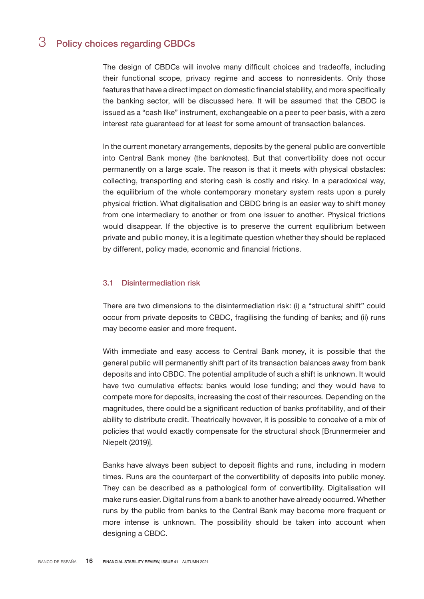## 3 Policy choices regarding CBDCs

The design of CBDCs will involve many difficult choices and tradeoffs, including their functional scope, privacy regime and access to nonresidents. Only those features that have a direct impact on domestic financial stability, and more specifically the banking sector, will be discussed here. It will be assumed that the CBDC is issued as a "cash like" instrument, exchangeable on a peer to peer basis, with a zero interest rate guaranteed for at least for some amount of transaction balances.

In the current monetary arrangements, deposits by the general public are convertible into Central Bank money (the banknotes). But that convertibility does not occur permanently on a large scale. The reason is that it meets with physical obstacles: collecting, transporting and storing cash is costly and risky. In a paradoxical way, the equilibrium of the whole contemporary monetary system rests upon a purely physical friction. What digitalisation and CBDC bring is an easier way to shift money from one intermediary to another or from one issuer to another. Physical frictions would disappear. If the objective is to preserve the current equilibrium between private and public money, it is a legitimate question whether they should be replaced by different, policy made, economic and financial frictions.

#### 3.1 Disintermediation risk

There are two dimensions to the disintermediation risk: (i) a "structural shift" could occur from private deposits to CBDC, fragilising the funding of banks; and (ii) runs may become easier and more frequent.

With immediate and easy access to Central Bank money, it is possible that the general public will permanently shift part of its transaction balances away from bank deposits and into CBDC. The potential amplitude of such a shift is unknown. It would have two cumulative effects: banks would lose funding; and they would have to compete more for deposits, increasing the cost of their resources. Depending on the magnitudes, there could be a significant reduction of banks profitability, and of their ability to distribute credit. Theatrically however, it is possible to conceive of a mix of policies that would exactly compensate for the structural shock [Brunnermeier and Niepelt (2019)].

Banks have always been subject to deposit flights and runs, including in modern times. Runs are the counterpart of the convertibility of deposits into public money. They can be described as a pathological form of convertibility. Digitalisation will make runs easier. Digital runs from a bank to another have already occurred. Whether runs by the public from banks to the Central Bank may become more frequent or more intense is unknown. The possibility should be taken into account when designing a CBDC.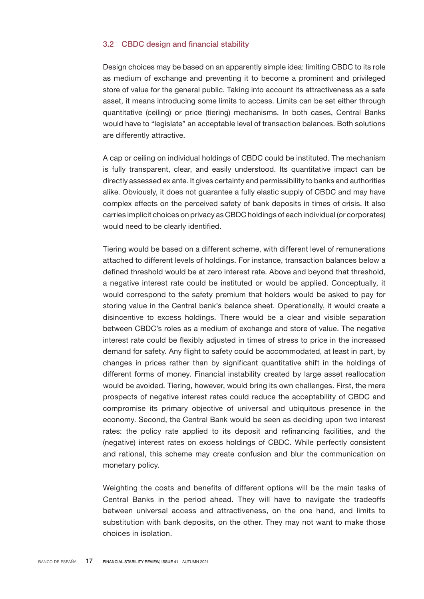#### 3.2 CBDC design and financial stability

Design choices may be based on an apparently simple idea: limiting CBDC to its role as medium of exchange and preventing it to become a prominent and privileged store of value for the general public. Taking into account its attractiveness as a safe asset, it means introducing some limits to access. Limits can be set either through quantitative (ceiling) or price (tiering) mechanisms. In both cases, Central Banks would have to "legislate" an acceptable level of transaction balances. Both solutions are differently attractive.

A cap or ceiling on individual holdings of CBDC could be instituted. The mechanism is fully transparent, clear, and easily understood. Its quantitative impact can be directly assessed ex ante. It gives certainty and permissibility to banks and authorities alike. Obviously, it does not guarantee a fully elastic supply of CBDC and may have complex effects on the perceived safety of bank deposits in times of crisis. It also carries implicit choices on privacy as CBDC holdings of each individual (or corporates) would need to be clearly identified.

Tiering would be based on a different scheme, with different level of remunerations attached to different levels of holdings. For instance, transaction balances below a defined threshold would be at zero interest rate. Above and beyond that threshold, a negative interest rate could be instituted or would be applied. Conceptually, it would correspond to the safety premium that holders would be asked to pay for storing value in the Central bank's balance sheet. Operationally, it would create a disincentive to excess holdings. There would be a clear and visible separation between CBDC's roles as a medium of exchange and store of value. The negative interest rate could be flexibly adjusted in times of stress to price in the increased demand for safety. Any flight to safety could be accommodated, at least in part, by changes in prices rather than by significant quantitative shift in the holdings of different forms of money. Financial instability created by large asset reallocation would be avoided. Tiering, however, would bring its own challenges. First, the mere prospects of negative interest rates could reduce the acceptability of CBDC and compromise its primary objective of universal and ubiquitous presence in the economy. Second, the Central Bank would be seen as deciding upon two interest rates: the policy rate applied to its deposit and refinancing facilities, and the (negative) interest rates on excess holdings of CBDC. While perfectly consistent and rational, this scheme may create confusion and blur the communication on monetary policy.

Weighting the costs and benefits of different options will be the main tasks of Central Banks in the period ahead. They will have to navigate the tradeoffs between universal access and attractiveness, on the one hand, and limits to substitution with bank deposits, on the other. They may not want to make those choices in isolation.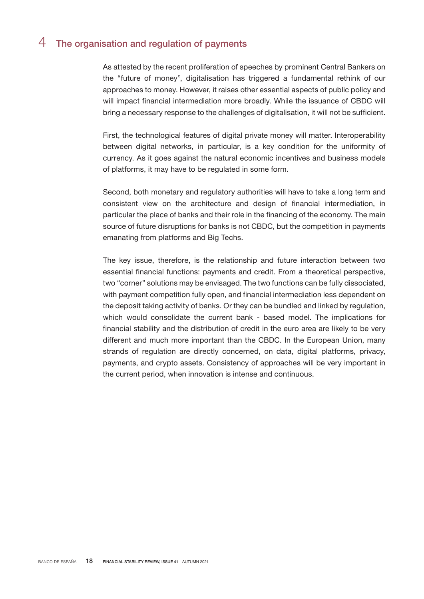### 4 The organisation and regulation of payments

As attested by the recent proliferation of speeches by prominent Central Bankers on the "future of money", digitalisation has triggered a fundamental rethink of our approaches to money. However, it raises other essential aspects of public policy and will impact financial intermediation more broadly. While the issuance of CBDC will bring a necessary response to the challenges of digitalisation, it will not be sufficient.

First, the technological features of digital private money will matter. Interoperability between digital networks, in particular, is a key condition for the uniformity of currency. As it goes against the natural economic incentives and business models of platforms, it may have to be regulated in some form.

Second, both monetary and regulatory authorities will have to take a long term and consistent view on the architecture and design of financial intermediation, in particular the place of banks and their role in the financing of the economy. The main source of future disruptions for banks is not CBDC, but the competition in payments emanating from platforms and Big Techs.

The key issue, therefore, is the relationship and future interaction between two essential financial functions: payments and credit. From a theoretical perspective, two "corner" solutions may be envisaged. The two functions can be fully dissociated, with payment competition fully open, and financial intermediation less dependent on the deposit taking activity of banks. Or they can be bundled and linked by regulation, which would consolidate the current bank - based model. The implications for financial stability and the distribution of credit in the euro area are likely to be very different and much more important than the CBDC. In the European Union, many strands of regulation are directly concerned, on data, digital platforms, privacy, payments, and crypto assets. Consistency of approaches will be very important in the current period, when innovation is intense and continuous.